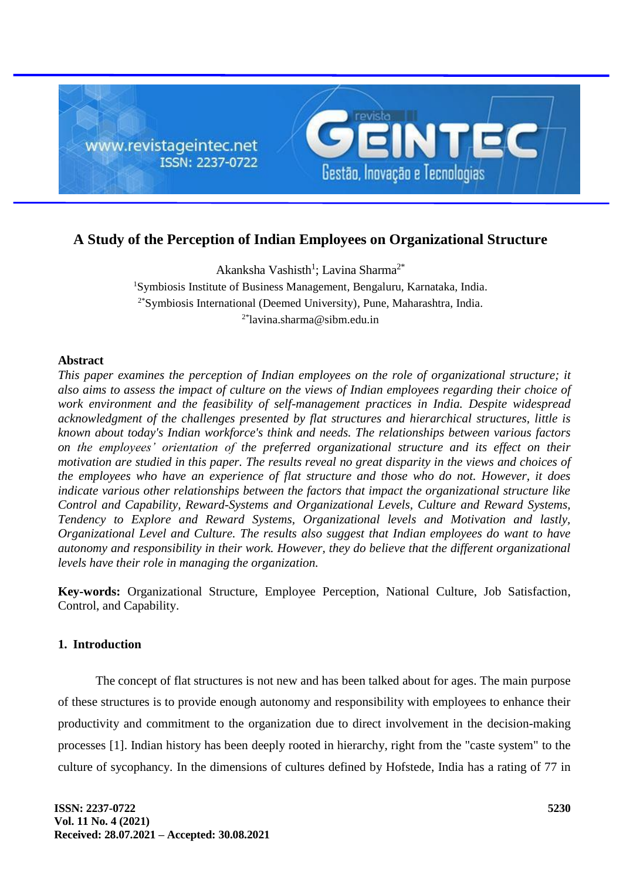

# **A Study of the Perception of Indian Employees on Organizational Structure**

Akanksha Vashisth<sup>1</sup>; Lavina Sharma<sup>2\*</sup> <sup>1</sup>Symbiosis Institute of Business Management, Bengaluru, Karnataka, India. 2\*Symbiosis International (Deemed University), Pune, Maharashtra, India.  $2^*$ lavina.sharma@sibm.edu.in

# **Abstract**

*This paper examines the perception of Indian employees on the role of organizational structure; it also aims to assess the impact of culture on the views of Indian employees regarding their choice of work environment and the feasibility of self-management practices in India. Despite widespread acknowledgment of the challenges presented by flat structures and hierarchical structures, little is known about today's Indian workforce's think and needs. The relationships between various factors on the employees' orientation of the preferred organizational structure and its effect on their motivation are studied in this paper. The results reveal no great disparity in the views and choices of the employees who have an experience of flat structure and those who do not. However, it does indicate various other relationships between the factors that impact the organizational structure like Control and Capability, Reward-Systems and Organizational Levels, Culture and Reward Systems, Tendency to Explore and Reward Systems, Organizational levels and Motivation and lastly, Organizational Level and Culture. The results also suggest that Indian employees do want to have autonomy and responsibility in their work. However, they do believe that the different organizational levels have their role in managing the organization.*

**Key-words:** Organizational Structure, Employee Perception, National Culture, Job Satisfaction, Control, and Capability.

## **1. Introduction**

The concept of flat structures is not new and has been talked about for ages. The main purpose of these structures is to provide enough autonomy and responsibility with employees to enhance their productivity and commitment to the organization due to direct involvement in the decision-making processes [1]. Indian history has been deeply rooted in hierarchy, right from the "caste system" to the culture of sycophancy. In the dimensions of cultures defined by Hofstede, India has a rating of 77 in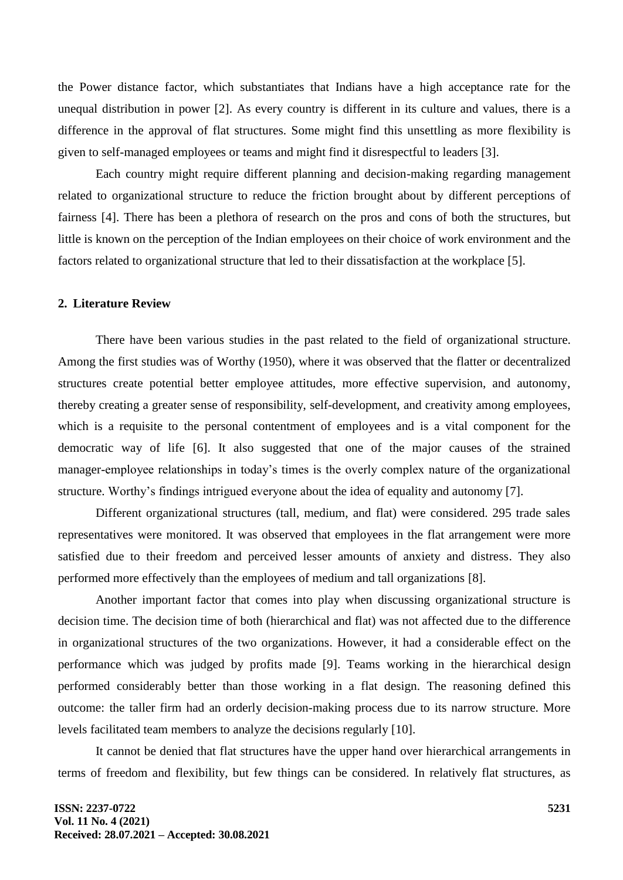the Power distance factor, which substantiates that Indians have a high acceptance rate for the unequal distribution in power [2]. As every country is different in its culture and values, there is a difference in the approval of flat structures. Some might find this unsettling as more flexibility is given to self-managed employees or teams and might find it disrespectful to leaders [3].

Each country might require different planning and decision-making regarding management related to organizational structure to reduce the friction brought about by different perceptions of fairness [4]. There has been a plethora of research on the pros and cons of both the structures, but little is known on the perception of the Indian employees on their choice of work environment and the factors related to organizational structure that led to their dissatisfaction at the workplace [5].

## **2. Literature Review**

There have been various studies in the past related to the field of organizational structure. Among the first studies was of Worthy (1950), where it was observed that the flatter or decentralized structures create potential better employee attitudes, more effective supervision, and autonomy, thereby creating a greater sense of responsibility, self-development, and creativity among employees, which is a requisite to the personal contentment of employees and is a vital component for the democratic way of life [6]. It also suggested that one of the major causes of the strained manager-employee relationships in today's times is the overly complex nature of the organizational structure. Worthy's findings intrigued everyone about the idea of equality and autonomy [7].

Different organizational structures (tall, medium, and flat) were considered. 295 trade sales representatives were monitored. It was observed that employees in the flat arrangement were more satisfied due to their freedom and perceived lesser amounts of anxiety and distress. They also performed more effectively than the employees of medium and tall organizations [8].

Another important factor that comes into play when discussing organizational structure is decision time. The decision time of both (hierarchical and flat) was not affected due to the difference in organizational structures of the two organizations. However, it had a considerable effect on the performance which was judged by profits made [9]. Teams working in the hierarchical design performed considerably better than those working in a flat design. The reasoning defined this outcome: the taller firm had an orderly decision-making process due to its narrow structure. More levels facilitated team members to analyze the decisions regularly [10].

It cannot be denied that flat structures have the upper hand over hierarchical arrangements in terms of freedom and flexibility, but few things can be considered. In relatively flat structures, as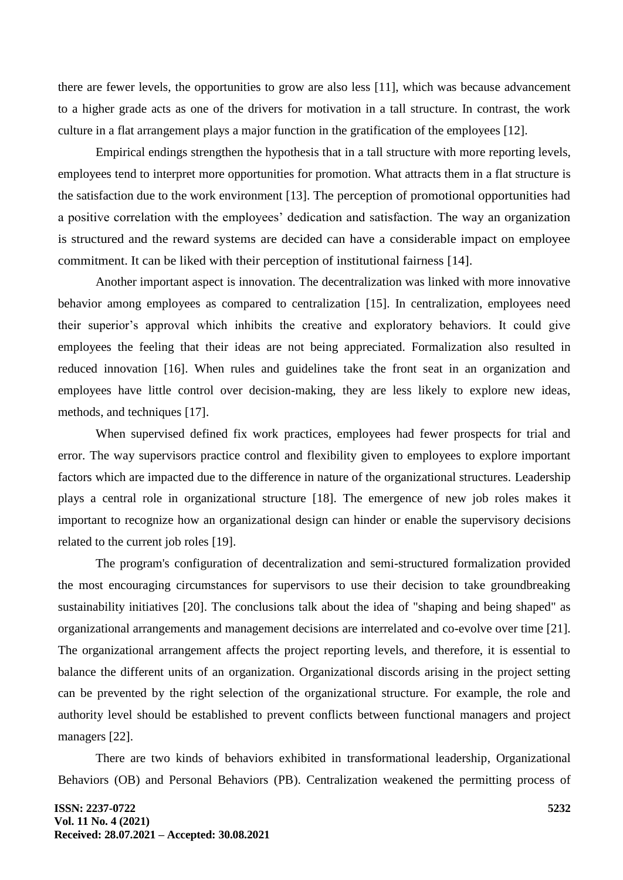there are fewer levels, the opportunities to grow are also less [11], which was because advancement to a higher grade acts as one of the drivers for motivation in a tall structure. In contrast, the work culture in a flat arrangement plays a major function in the gratification of the employees [12].

Empirical endings strengthen the hypothesis that in a tall structure with more reporting levels, employees tend to interpret more opportunities for promotion. What attracts them in a flat structure is the satisfaction due to the work environment [13]. The perception of promotional opportunities had a positive correlation with the employees' dedication and satisfaction. The way an organization is structured and the reward systems are decided can have a considerable impact on employee commitment. It can be liked with their perception of institutional fairness [14].

Another important aspect is innovation. The decentralization was linked with more innovative behavior among employees as compared to centralization [15]. In centralization, employees need their superior's approval which inhibits the creative and exploratory behaviors. It could give employees the feeling that their ideas are not being appreciated. Formalization also resulted in reduced innovation [16]. When rules and guidelines take the front seat in an organization and employees have little control over decision-making, they are less likely to explore new ideas, methods, and techniques [17].

When supervised defined fix work practices, employees had fewer prospects for trial and error. The way supervisors practice control and flexibility given to employees to explore important factors which are impacted due to the difference in nature of the organizational structures. Leadership plays a central role in organizational structure [18]. The emergence of new job roles makes it important to recognize how an organizational design can hinder or enable the supervisory decisions related to the current job roles [19].

The program's configuration of decentralization and semi-structured formalization provided the most encouraging circumstances for supervisors to use their decision to take groundbreaking sustainability initiatives [20]. The conclusions talk about the idea of "shaping and being shaped" as organizational arrangements and management decisions are interrelated and co-evolve over time [21]. The organizational arrangement affects the project reporting levels, and therefore, it is essential to balance the different units of an organization. Organizational discords arising in the project setting can be prevented by the right selection of the organizational structure. For example, the role and authority level should be established to prevent conflicts between functional managers and project managers [22].

There are two kinds of behaviors exhibited in transformational leadership, Organizational Behaviors (OB) and Personal Behaviors (PB). Centralization weakened the permitting process of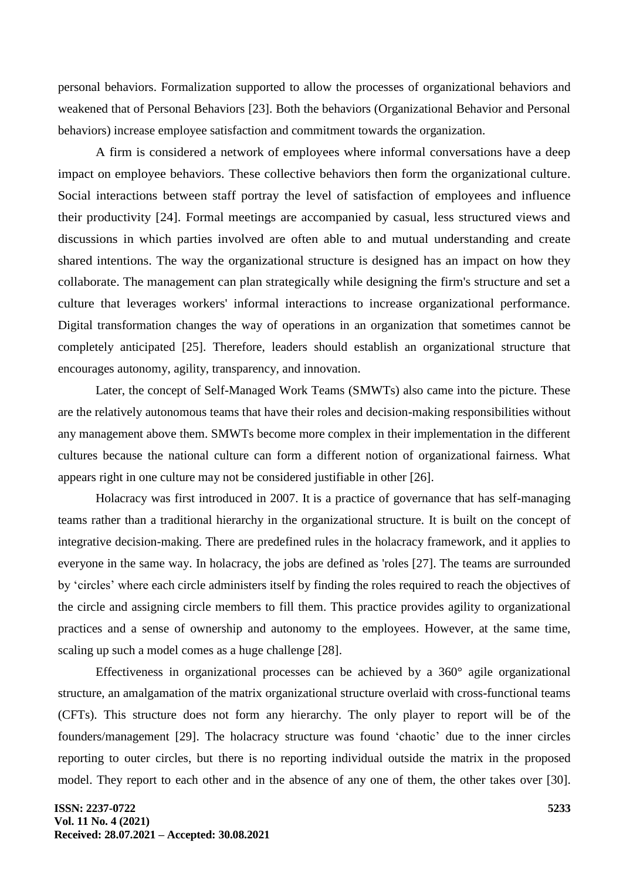personal behaviors. Formalization supported to allow the processes of organizational behaviors and weakened that of Personal Behaviors [23]. Both the behaviors (Organizational Behavior and Personal behaviors) increase employee satisfaction and commitment towards the organization.

A firm is considered a network of employees where informal conversations have a deep impact on employee behaviors. These collective behaviors then form the organizational culture. Social interactions between staff portray the level of satisfaction of employees and influence their productivity [24]. Formal meetings are accompanied by casual, less structured views and discussions in which parties involved are often able to and mutual understanding and create shared intentions. The way the organizational structure is designed has an impact on how they collaborate. The management can plan strategically while designing the firm's structure and set a culture that leverages workers' informal interactions to increase organizational performance. Digital transformation changes the way of operations in an organization that sometimes cannot be completely anticipated [25]. Therefore, leaders should establish an organizational structure that encourages autonomy, agility, transparency, and innovation.

Later, the concept of Self-Managed Work Teams (SMWTs) also came into the picture. These are the relatively autonomous teams that have their roles and decision-making responsibilities without any management above them. SMWTs become more complex in their implementation in the different cultures because the national culture can form a different notion of organizational fairness. What appears right in one culture may not be considered justifiable in other [26].

Holacracy was first introduced in 2007. It is a practice of governance that has self-managing teams rather than a traditional hierarchy in the organizational structure. It is built on the concept of integrative decision-making. There are predefined rules in the holacracy framework, and it applies to everyone in the same way. In holacracy, the jobs are defined as 'roles [27]. The teams are surrounded by 'circles' where each circle administers itself by finding the roles required to reach the objectives of the circle and assigning circle members to fill them. This practice provides agility to organizational practices and a sense of ownership and autonomy to the employees. However, at the same time, scaling up such a model comes as a huge challenge [28].

Effectiveness in organizational processes can be achieved by a 360° agile organizational structure, an amalgamation of the matrix organizational structure overlaid with cross-functional teams (CFTs). This structure does not form any hierarchy. The only player to report will be of the founders/management [29]. The holacracy structure was found 'chaotic' due to the inner circles reporting to outer circles, but there is no reporting individual outside the matrix in the proposed model. They report to each other and in the absence of any one of them, the other takes over [30].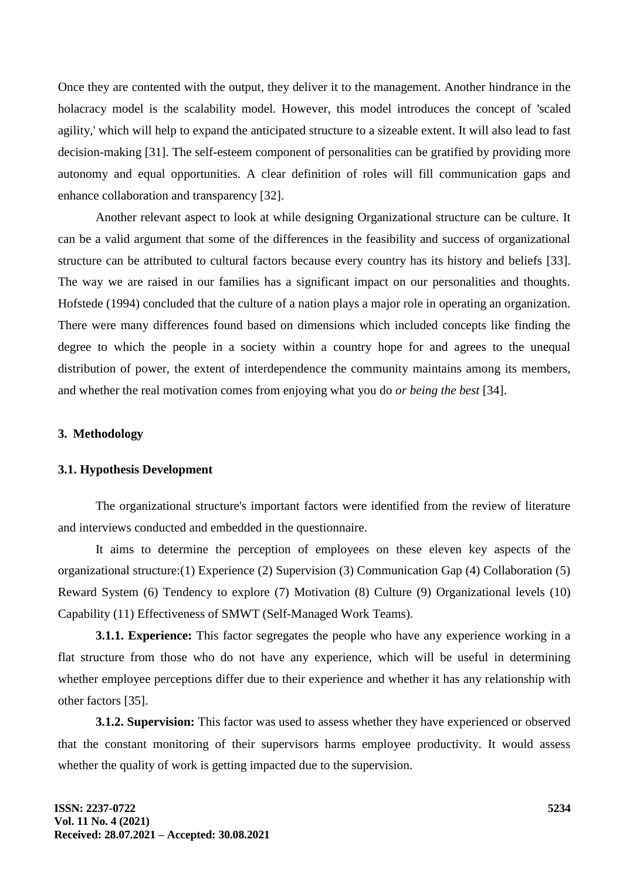Once they are contented with the output, they deliver it to the management. Another hindrance in the holacracy model is the scalability model. However, this model introduces the concept of 'scaled agility,' which will help to expand the anticipated structure to a sizeable extent. It will also lead to fast decision-making [31]. The self-esteem component of personalities can be gratified by providing more autonomy and equal opportunities. A clear definition of roles will fill communication gaps and enhance collaboration and transparency [32].

Another relevant aspect to look at while designing Organizational structure can be culture. It can be a valid argument that some of the differences in the feasibility and success of organizational structure can be attributed to cultural factors because every country has its history and beliefs [33]. The way we are raised in our families has a significant impact on our personalities and thoughts. Hofstede (1994) concluded that the culture of a nation plays a major role in operating an organization. There were many differences found based on dimensions which included concepts like finding the degree to which the people in a society within a country hope for and agrees to the unequal distribution of power, the extent of interdependence the community maintains among its members, and whether the real motivation comes from enjoying what you do *or being the best* [34].

#### **3. Methodology**

#### **3.1. Hypothesis Development**

The organizational structure's important factors were identified from the review of literature and interviews conducted and embedded in the questionnaire.

It aims to determine the perception of employees on these eleven key aspects of the organizational structure:(1) Experience (2) Supervision (3) Communication Gap (4) Collaboration (5) Reward System (6) Tendency to explore (7) Motivation (8) Culture (9) Organizational levels (10) Capability (11) Effectiveness of SMWT (Self-Managed Work Teams).

**3.1.1. Experience:** This factor segregates the people who have any experience working in a flat structure from those who do not have any experience, which will be useful in determining whether employee perceptions differ due to their experience and whether it has any relationship with other factors [35].

**3.1.2. Supervision:** This factor was used to assess whether they have experienced or observed that the constant monitoring of their supervisors harms employee productivity. It would assess whether the quality of work is getting impacted due to the supervision.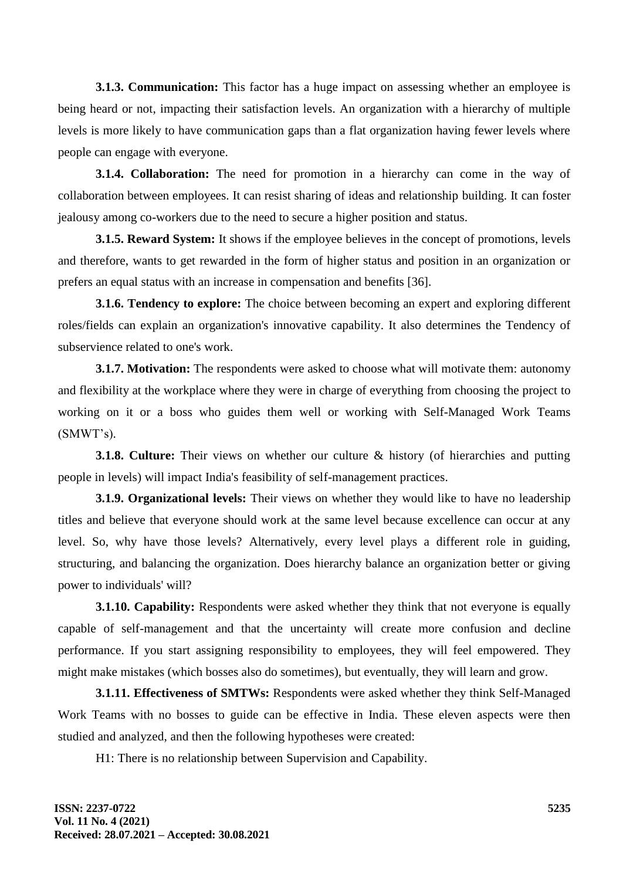**3.1.3. Communication:** This factor has a huge impact on assessing whether an employee is being heard or not, impacting their satisfaction levels. An organization with a hierarchy of multiple levels is more likely to have communication gaps than a flat organization having fewer levels where people can engage with everyone.

**3.1.4. Collaboration:** The need for promotion in a hierarchy can come in the way of collaboration between employees. It can resist sharing of ideas and relationship building. It can foster jealousy among co-workers due to the need to secure a higher position and status.

**3.1.5. Reward System:** It shows if the employee believes in the concept of promotions, levels and therefore, wants to get rewarded in the form of higher status and position in an organization or prefers an equal status with an increase in compensation and benefits [36].

**3.1.6. Tendency to explore:** The choice between becoming an expert and exploring different roles/fields can explain an organization's innovative capability. It also determines the Tendency of subservience related to one's work.

**3.1.7. Motivation:** The respondents were asked to choose what will motivate them: autonomy and flexibility at the workplace where they were in charge of everything from choosing the project to working on it or a boss who guides them well or working with Self-Managed Work Teams (SMWT's).

**3.1.8. Culture:** Their views on whether our culture & history (of hierarchies and putting people in levels) will impact India's feasibility of self-management practices.

**3.1.9. Organizational levels:** Their views on whether they would like to have no leadership titles and believe that everyone should work at the same level because excellence can occur at any level. So, why have those levels? Alternatively, every level plays a different role in guiding, structuring, and balancing the organization. Does hierarchy balance an organization better or giving power to individuals' will?

**3.1.10. Capability:** Respondents were asked whether they think that not everyone is equally capable of self-management and that the uncertainty will create more confusion and decline performance. If you start assigning responsibility to employees, they will feel empowered. They might make mistakes (which bosses also do sometimes), but eventually, they will learn and grow.

**3.1.11. Effectiveness of SMTWs:** Respondents were asked whether they think Self-Managed Work Teams with no bosses to guide can be effective in India. These eleven aspects were then studied and analyzed, and then the following hypotheses were created:

H1: There is no relationship between Supervision and Capability.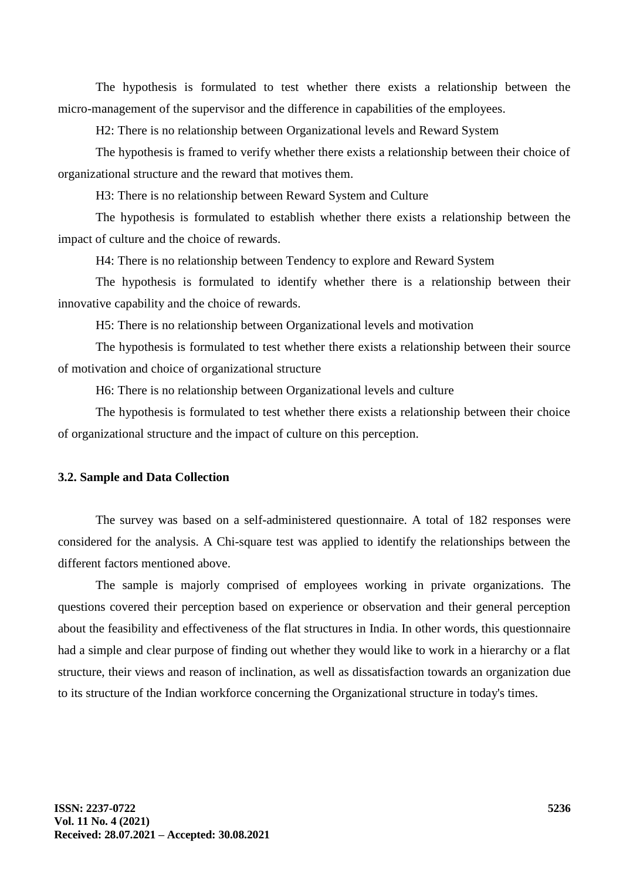The hypothesis is formulated to test whether there exists a relationship between the micro-management of the supervisor and the difference in capabilities of the employees.

H2: There is no relationship between Organizational levels and Reward System

The hypothesis is framed to verify whether there exists a relationship between their choice of organizational structure and the reward that motives them.

H3: There is no relationship between Reward System and Culture

The hypothesis is formulated to establish whether there exists a relationship between the impact of culture and the choice of rewards.

H4: There is no relationship between Tendency to explore and Reward System

The hypothesis is formulated to identify whether there is a relationship between their innovative capability and the choice of rewards.

H5: There is no relationship between Organizational levels and motivation

The hypothesis is formulated to test whether there exists a relationship between their source of motivation and choice of organizational structure

H6: There is no relationship between Organizational levels and culture

The hypothesis is formulated to test whether there exists a relationship between their choice of organizational structure and the impact of culture on this perception.

### **3.2. Sample and Data Collection**

The survey was based on a self-administered questionnaire. A total of 182 responses were considered for the analysis. A Chi-square test was applied to identify the relationships between the different factors mentioned above.

The sample is majorly comprised of employees working in private organizations. The questions covered their perception based on experience or observation and their general perception about the feasibility and effectiveness of the flat structures in India. In other words, this questionnaire had a simple and clear purpose of finding out whether they would like to work in a hierarchy or a flat structure, their views and reason of inclination, as well as dissatisfaction towards an organization due to its structure of the Indian workforce concerning the Organizational structure in today's times.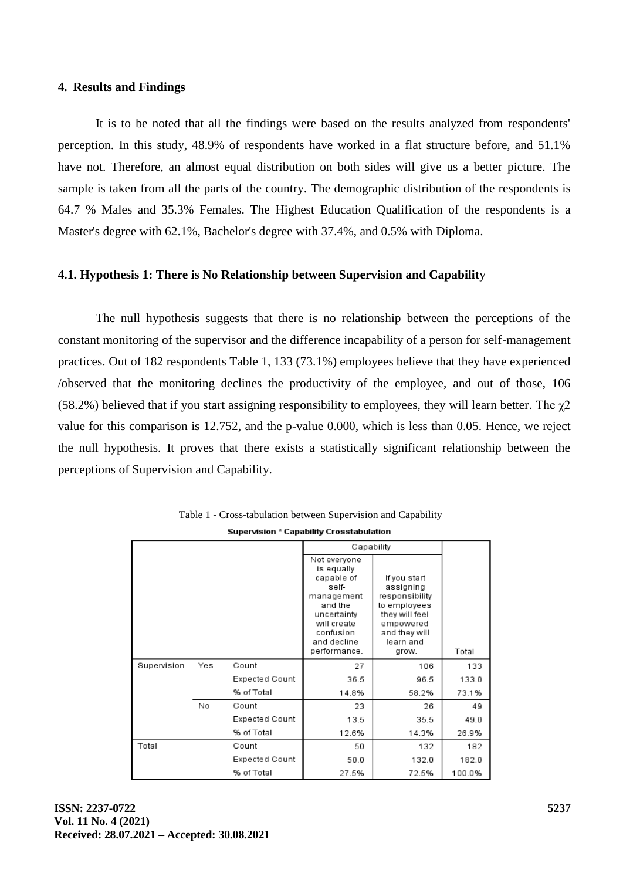#### **4. Results and Findings**

It is to be noted that all the findings were based on the results analyzed from respondents' perception. In this study, 48.9% of respondents have worked in a flat structure before, and 51.1% have not. Therefore, an almost equal distribution on both sides will give us a better picture. The sample is taken from all the parts of the country. The demographic distribution of the respondents is 64.7 % Males and 35.3% Females. The Highest Education Qualification of the respondents is a Master's degree with 62.1%, Bachelor's degree with 37.4%, and 0.5% with Diploma.

#### **4.1. Hypothesis 1: There is No Relationship between Supervision and Capabilit**y

The null hypothesis suggests that there is no relationship between the perceptions of the constant monitoring of the supervisor and the difference incapability of a person for self-management practices. Out of 182 respondents Table 1, 133 (73.1%) employees believe that they have experienced /observed that the monitoring declines the productivity of the employee, and out of those, 106 (58.2%) believed that if you start assigning responsibility to employees, they will learn better. The  $\chi$ 2 value for this comparison is 12.752, and the p-value 0.000, which is less than 0.05. Hence, we reject the null hypothesis. It proves that there exists a statistically significant relationship between the perceptions of Supervision and Capability.

|             |     |                       | Capability                                                                                                                                           |                                                                                                                                   |        |
|-------------|-----|-----------------------|------------------------------------------------------------------------------------------------------------------------------------------------------|-----------------------------------------------------------------------------------------------------------------------------------|--------|
|             |     |                       | Not everyone<br>is equally<br>capable of<br>self-<br>management<br>and the<br>uncertainty<br>will create<br>confusion<br>and decline<br>performance. | If you start<br>assigning<br>responsibility<br>to employees<br>they will feel<br>empowered<br>and they will<br>learn and<br>grow. | Total  |
| Supervision | Yes | Count                 | 27                                                                                                                                                   | 106                                                                                                                               | 133    |
|             |     | Expected Count        | 36.5                                                                                                                                                 | 96.5                                                                                                                              | 133.0  |
|             |     | % of Total            | 14.8%                                                                                                                                                | 58.2%                                                                                                                             | 73.1%  |
|             | No  | Count                 | 23                                                                                                                                                   | 26                                                                                                                                | 49     |
|             |     | <b>Expected Count</b> | 13.5                                                                                                                                                 | 35.5                                                                                                                              | 49.0   |
|             |     | % of Total            | 12.6%                                                                                                                                                | 14.3%                                                                                                                             | 26.9%  |
| Total       |     | Count                 | 50                                                                                                                                                   | 132                                                                                                                               | 182    |
|             |     | Expected Count        | 50.0                                                                                                                                                 | 132.0                                                                                                                             | 182.0  |
|             |     | % of Total            | 27.5%                                                                                                                                                | 72.5%                                                                                                                             | 100.0% |

Table 1 - Cross-tabulation between Supervision and CapabilitySupervision \* Capability Crosstabulation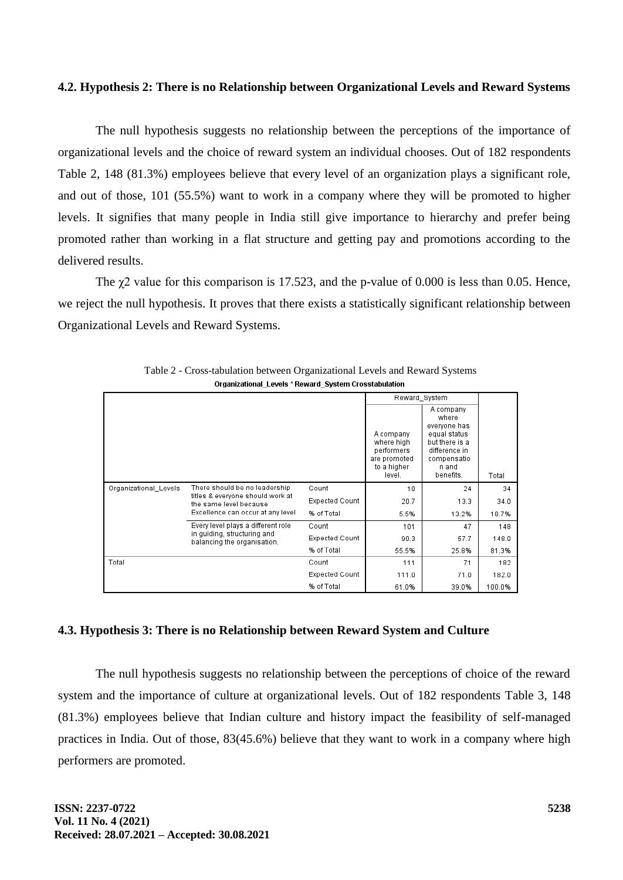#### **4.2. Hypothesis 2: There is no Relationship between Organizational Levels and Reward Systems**

The null hypothesis suggests no relationship between the perceptions of the importance of organizational levels and the choice of reward system an individual chooses. Out of 182 respondents Table 2, 148 (81.3%) employees believe that every level of an organization plays a significant role, and out of those, 101 (55.5%) want to work in a company where they will be promoted to higher levels. It signifies that many people in India still give importance to hierarchy and prefer being promoted rather than working in a flat structure and getting pay and promotions according to the delivered results.

The  $\gamma$ 2 value for this comparison is 17.523, and the p-value of 0.000 is less than 0.05. Hence, we reject the null hypothesis. It proves that there exists a statistically significant relationship between Organizational Levels and Reward Systems.

|                       |                                                                                                                                                                                                                                      |                | Reward_System                                                                  |                                                                                                                            |        |
|-----------------------|--------------------------------------------------------------------------------------------------------------------------------------------------------------------------------------------------------------------------------------|----------------|--------------------------------------------------------------------------------|----------------------------------------------------------------------------------------------------------------------------|--------|
|                       |                                                                                                                                                                                                                                      |                | A company<br>where high<br>performers<br>are promoted<br>to a higher<br>level. | A company<br>where<br>everyone has<br>equal status<br>but there is a<br>difference in<br>compensatio<br>n and<br>benefits. | Total  |
| Organizational Levels | There should be no leadership<br>titles & everyone should work at<br>the same level because<br>Excellence can occur at any level<br>Every level plays a different role<br>in guiding, structuring and<br>balancing the organisation. | Count          | 10                                                                             | 24                                                                                                                         | 34     |
|                       |                                                                                                                                                                                                                                      | Expected Count | 20.7                                                                           | 13.3                                                                                                                       | 34.0   |
|                       |                                                                                                                                                                                                                                      | % of Total     | 5.5%                                                                           | 13.2%                                                                                                                      | 18.7%  |
|                       |                                                                                                                                                                                                                                      | Count          | 101                                                                            | 47                                                                                                                         | 148    |
|                       |                                                                                                                                                                                                                                      | Expected Count | 90.3                                                                           | 57.7                                                                                                                       | 148.0  |
|                       |                                                                                                                                                                                                                                      | % of Total     | 55.5%                                                                          | 25.8%                                                                                                                      | 81.3%  |
| Total                 |                                                                                                                                                                                                                                      | Count          | 111                                                                            | 71                                                                                                                         | 182    |
|                       |                                                                                                                                                                                                                                      | Expected Count | 111.0                                                                          | 71.0                                                                                                                       | 182.0  |
|                       |                                                                                                                                                                                                                                      | % of Total     | 61.0%                                                                          | 39.0%                                                                                                                      | 100.0% |

Table 2 - Cross-tabulation between Organizational Levels and Reward Systems Organizational\_Levels \* Reward\_System Crosstabulation

# **4.3. Hypothesis 3: There is no Relationship between Reward System and Culture**

The null hypothesis suggests no relationship between the perceptions of choice of the reward system and the importance of culture at organizational levels. Out of 182 respondents Table 3, 148 (81.3%) employees believe that Indian culture and history impact the feasibility of self-managed practices in India. Out of those, 83(45.6%) believe that they want to work in a company where high performers are promoted.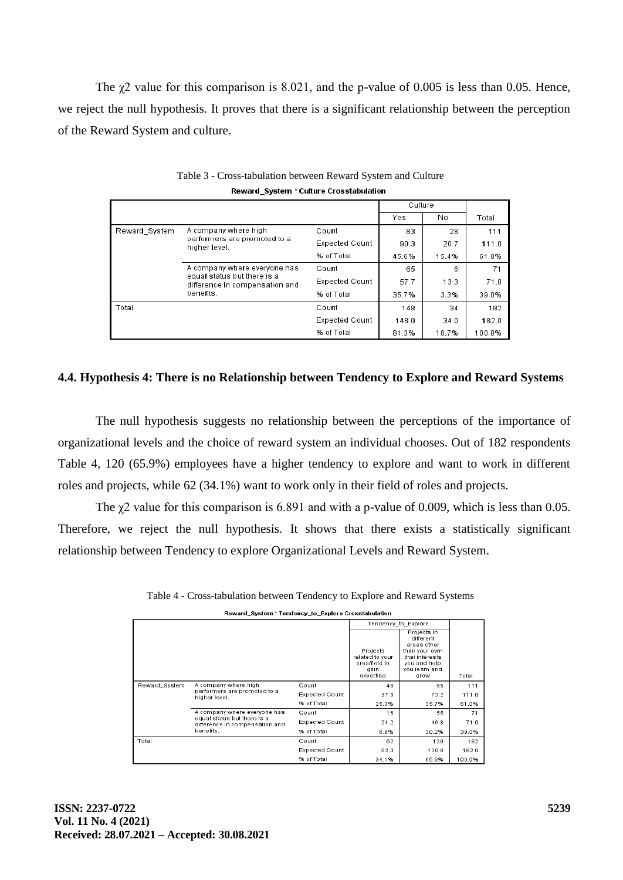The  $\gamma$ 2 value for this comparison is 8.021, and the p-value of 0.005 is less than 0.05. Hence, we reject the null hypothesis. It proves that there is a significant relationship between the perception of the Reward System and culture.

|               |                                                                                                            |                       | Culture |       |        |
|---------------|------------------------------------------------------------------------------------------------------------|-----------------------|---------|-------|--------|
|               |                                                                                                            |                       | Yes     | No    | Total  |
| Reward System | A company where high<br>performers are promoted to a<br>higher level.                                      | Count                 | 83      | 28    | 111    |
|               |                                                                                                            | <b>Expected Count</b> | 90.3    | 20.7  | 111.0  |
|               |                                                                                                            | % of Total            | 45.6%   | 15.4% | 61.0%  |
|               | A company where everyone has<br>equal status but there is a<br>difference in compensation and<br>benefits. | Count                 | 65      | 6     | 71     |
|               |                                                                                                            | Expected Count        | 57.7    | 13.3  | 71.0   |
|               |                                                                                                            | % of Total            | 35.7%   | 3.3%  | 39.0%  |
| Total         |                                                                                                            | Count                 | 148     | 34    | 182    |
|               |                                                                                                            | <b>Expected Count</b> | 148.0   | 34.0  | 182.0  |
|               |                                                                                                            | % of Total            | 81.3%   | 18.7% | 100.0% |

| Table 3 - Cross-tabulation between Reward System and Culture |
|--------------------------------------------------------------|
| Reward System * Culture Crosstabulation                      |

# **4.4. Hypothesis 4: There is no Relationship between Tendency to Explore and Reward Systems**

The null hypothesis suggests no relationship between the perceptions of the importance of organizational levels and the choice of reward system an individual chooses. Out of 182 respondents Table 4, 120 (65.9%) employees have a higher tendency to explore and want to work in different roles and projects, while 62 (34.1%) want to work only in their field of roles and projects.

The  $\chi$ 2 value for this comparison is 6.891 and with a p-value of 0.009, which is less than 0.05. Therefore, we reject the null hypothesis. It shows that there exists a statistically significant relationship between Tendency to explore Organizational Levels and Reward System.

Table 4 - Cross-tabulation between Tendency to Explore and Reward Systems

| Reward_System * Tendency_to_Explore Crosstabulation |
|-----------------------------------------------------|
|-----------------------------------------------------|

|               |                                                                                                                                                                                     |                       | Tendency_to_Explore                                                |                                                                                                                      |        |
|---------------|-------------------------------------------------------------------------------------------------------------------------------------------------------------------------------------|-----------------------|--------------------------------------------------------------------|----------------------------------------------------------------------------------------------------------------------|--------|
|               |                                                                                                                                                                                     |                       | Projects<br>related to your<br>area/field to<br>gain<br>expertise. | Projects in<br>different<br>areas other<br>than your own<br>that interests<br>you and help<br>you learn and<br>grow. | Total  |
| Reward System | A company where high<br>performers are promoted to a<br>higher level.<br>A company where everyone has<br>equal status but there is a<br>difference in compensation and<br>benefits. | Count                 | 46                                                                 | 65                                                                                                                   | 111    |
|               |                                                                                                                                                                                     | <b>Expected Count</b> | 37.8                                                               | 73.2                                                                                                                 | 111.0  |
|               |                                                                                                                                                                                     | % of Total            | 25.3%                                                              | 35.7%                                                                                                                | 61.0%  |
|               |                                                                                                                                                                                     | Count                 | 16                                                                 | 55                                                                                                                   | 71     |
|               |                                                                                                                                                                                     | <b>Expected Count</b> | 24.2                                                               | 46.8                                                                                                                 | 71.0   |
|               |                                                                                                                                                                                     | % of Total            | 8.8%                                                               | 30.2%                                                                                                                | 39.0%  |
| Total         |                                                                                                                                                                                     | Count                 | 62                                                                 | 120                                                                                                                  | 182    |
|               |                                                                                                                                                                                     | <b>Expected Count</b> | 62.0                                                               | 120.0                                                                                                                | 182.0  |
|               |                                                                                                                                                                                     | % of Total            | 34.1%                                                              | 65.9%                                                                                                                | 100.0% |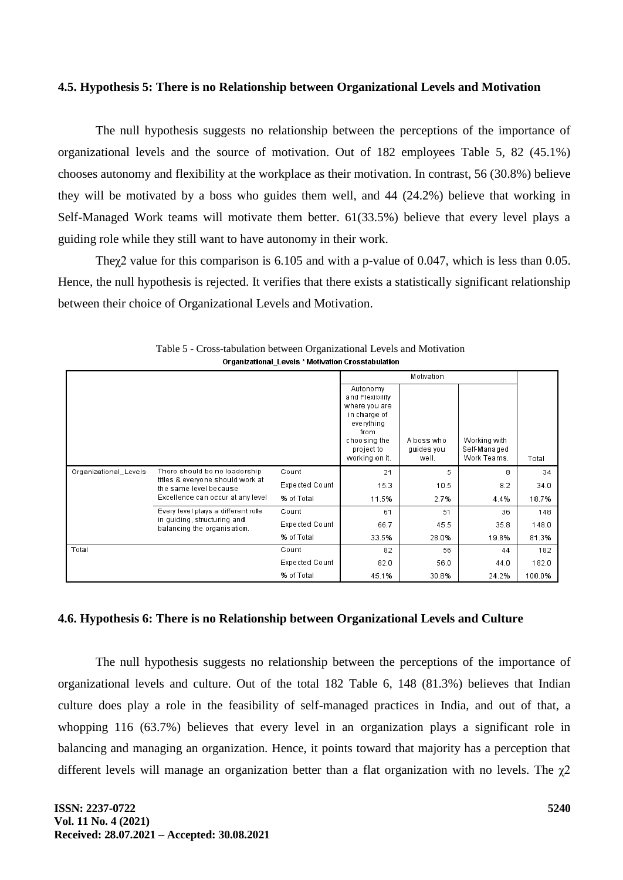#### **4.5. Hypothesis 5: There is no Relationship between Organizational Levels and Motivation**

The null hypothesis suggests no relationship between the perceptions of the importance of organizational levels and the source of motivation. Out of 182 employees Table 5, 82 (45.1%) chooses autonomy and flexibility at the workplace as their motivation. In contrast, 56 (30.8%) believe they will be motivated by a boss who guides them well, and 44 (24.2%) believe that working in Self-Managed Work teams will motivate them better. 61(33.5%) believe that every level plays a guiding role while they still want to have autonomy in their work.

Theχ2 value for this comparison is 6.105 and with a p-value of 0.047, which is less than 0.05. Hence, the null hypothesis is rejected. It verifies that there exists a statistically significant relationship between their choice of Organizational Levels and Motivation.

|                       |                                                                                                                                                                                                                                      |                |                                                                                                                                    | Motivation                        |                                             |        |
|-----------------------|--------------------------------------------------------------------------------------------------------------------------------------------------------------------------------------------------------------------------------------|----------------|------------------------------------------------------------------------------------------------------------------------------------|-----------------------------------|---------------------------------------------|--------|
|                       |                                                                                                                                                                                                                                      |                | Autonomy<br>and Flexibility<br>where you are<br>in charge of<br>everything<br>from<br>choosing the<br>project to<br>working on it. | A boss who<br>quides you<br>well. | Working with<br>Self-Managed<br>Work Teams. | Total  |
| Organizational_Levels | There should be no leadership<br>titles & everyone should work at<br>the same level because<br>Excellence can occur at any level<br>Every level plays a different role<br>in guiding, structuring and<br>balancing the organisation. | Count          | 21                                                                                                                                 | 5                                 | 8                                           | 34     |
|                       |                                                                                                                                                                                                                                      | Expected Count | 15.3                                                                                                                               | 10.5                              | 8.2                                         | 34.0   |
|                       |                                                                                                                                                                                                                                      | % of Total     | 11.5%                                                                                                                              | 2.7%                              | 4.4%                                        | 18.7%  |
|                       |                                                                                                                                                                                                                                      | Count          | 61                                                                                                                                 | 51                                | 36                                          | 148    |
|                       |                                                                                                                                                                                                                                      | Expected Count | 66.7                                                                                                                               | 45.5                              | 35.8                                        | 148.0  |
|                       |                                                                                                                                                                                                                                      | % of Total     | 33.5%                                                                                                                              | 28.0%                             | 19.8%                                       | 81.3%  |
| Total                 |                                                                                                                                                                                                                                      | Count          | 82                                                                                                                                 | 56                                | 44                                          | 182    |
|                       |                                                                                                                                                                                                                                      | Expected Count | 82.0                                                                                                                               | 56.0                              | 44.0                                        | 182.0  |
|                       |                                                                                                                                                                                                                                      | % of Total     | 45.1%                                                                                                                              | 30.8%                             | 24.2%                                       | 100.0% |

Table 5 - Cross-tabulation between Organizational Levels and Motivation Organizational\_Levels \* Motivation Crosstabulation

# **4.6. Hypothesis 6: There is no Relationship between Organizational Levels and Culture**

The null hypothesis suggests no relationship between the perceptions of the importance of organizational levels and culture. Out of the total 182 Table 6, 148 (81.3%) believes that Indian culture does play a role in the feasibility of self-managed practices in India, and out of that, a whopping 116 (63.7%) believes that every level in an organization plays a significant role in balancing and managing an organization. Hence, it points toward that majority has a perception that different levels will manage an organization better than a flat organization with no levels. The  $\chi$ 2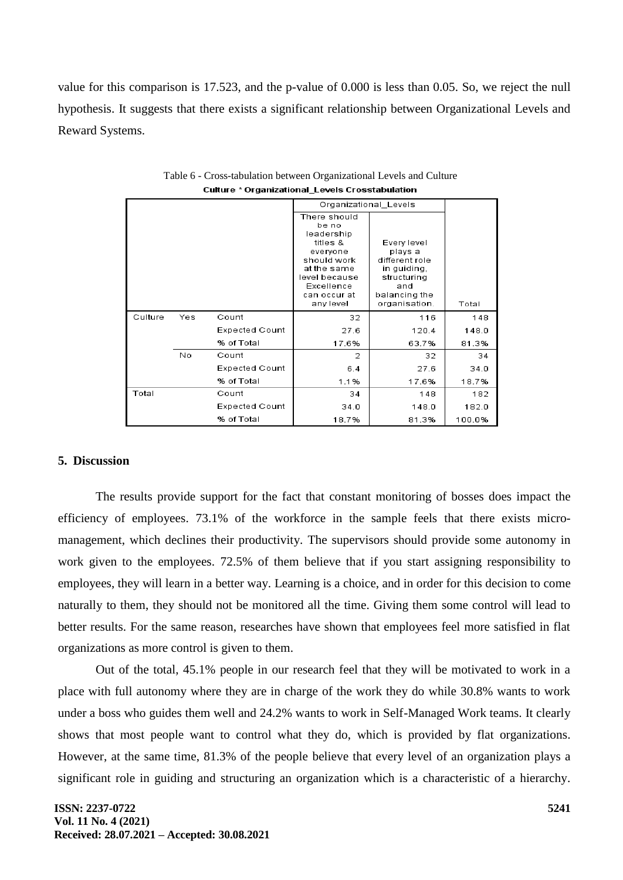value for this comparison is 17.523, and the p-value of 0.000 is less than 0.05. So, we reject the null hypothesis. It suggests that there exists a significant relationship between Organizational Levels and Reward Systems.

|         |     |                       | Organizational_Levels                                                                                                                                 |                                                                                                                 |        |
|---------|-----|-----------------------|-------------------------------------------------------------------------------------------------------------------------------------------------------|-----------------------------------------------------------------------------------------------------------------|--------|
|         |     |                       | There should<br>be no<br>leadership<br>titles &<br>everyone<br>should work<br>at the same<br>level because<br>Excellence<br>can occur at<br>any level | Every level<br>plays a<br>different role<br>in quiding.<br>structuring<br>and<br>balancing the<br>organisation. | Total  |
| Culture | Yes | Count                 | 32                                                                                                                                                    | 116                                                                                                             | 148    |
|         |     | <b>Expected Count</b> | 27.6                                                                                                                                                  | 120.4                                                                                                           | 148.0  |
|         |     | % of Total            | 17.6%                                                                                                                                                 | 63.7%                                                                                                           | 81.3%  |
|         | Nο  | Count                 | 2                                                                                                                                                     | 32                                                                                                              | 34     |
|         |     | <b>Expected Count</b> | 6.4                                                                                                                                                   | 27.6                                                                                                            | 34.0   |
|         |     | % of Total            | 1.1%                                                                                                                                                  | 17.6%                                                                                                           | 18.7%  |
| Total   |     | Count                 | 34                                                                                                                                                    | 148                                                                                                             | 182    |
|         |     | <b>Expected Count</b> | 34.0                                                                                                                                                  | 148.0                                                                                                           | 182.0  |
|         |     | % of Total            | 18.7%                                                                                                                                                 | 81.3%                                                                                                           | 100.0% |

Table 6 - Cross-tabulation between Organizational Levels and Culture **Culture \* Organizational Levels Crosstabulation** 

## **5. Discussion**

The results provide support for the fact that constant monitoring of bosses does impact the efficiency of employees. 73.1% of the workforce in the sample feels that there exists micromanagement, which declines their productivity. The supervisors should provide some autonomy in work given to the employees. 72.5% of them believe that if you start assigning responsibility to employees, they will learn in a better way. Learning is a choice, and in order for this decision to come naturally to them, they should not be monitored all the time. Giving them some control will lead to better results. For the same reason, researches have shown that employees feel more satisfied in flat organizations as more control is given to them.

Out of the total, 45.1% people in our research feel that they will be motivated to work in a place with full autonomy where they are in charge of the work they do while 30.8% wants to work under a boss who guides them well and 24.2% wants to work in Self-Managed Work teams. It clearly shows that most people want to control what they do, which is provided by flat organizations. However, at the same time, 81.3% of the people believe that every level of an organization plays a significant role in guiding and structuring an organization which is a characteristic of a hierarchy.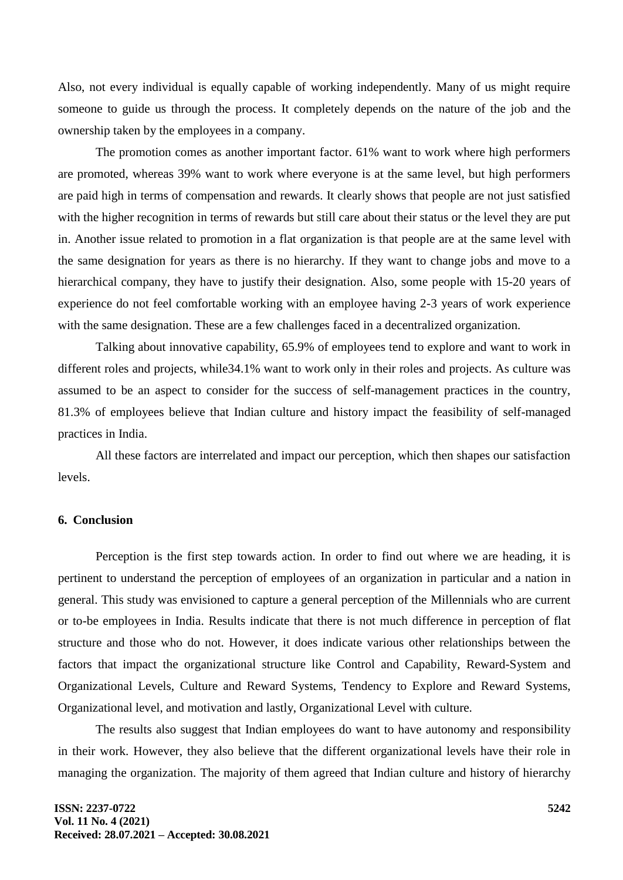Also, not every individual is equally capable of working independently. Many of us might require someone to guide us through the process. It completely depends on the nature of the job and the ownership taken by the employees in a company.

The promotion comes as another important factor. 61% want to work where high performers are promoted, whereas 39% want to work where everyone is at the same level, but high performers are paid high in terms of compensation and rewards. It clearly shows that people are not just satisfied with the higher recognition in terms of rewards but still care about their status or the level they are put in. Another issue related to promotion in a flat organization is that people are at the same level with the same designation for years as there is no hierarchy. If they want to change jobs and move to a hierarchical company, they have to justify their designation. Also, some people with 15-20 years of experience do not feel comfortable working with an employee having 2-3 years of work experience with the same designation. These are a few challenges faced in a decentralized organization.

Talking about innovative capability, 65.9% of employees tend to explore and want to work in different roles and projects, while34.1% want to work only in their roles and projects. As culture was assumed to be an aspect to consider for the success of self-management practices in the country, 81.3% of employees believe that Indian culture and history impact the feasibility of self-managed practices in India.

All these factors are interrelated and impact our perception, which then shapes our satisfaction levels.

## **6. Conclusion**

Perception is the first step towards action. In order to find out where we are heading, it is pertinent to understand the perception of employees of an organization in particular and a nation in general. This study was envisioned to capture a general perception of the Millennials who are current or to-be employees in India. Results indicate that there is not much difference in perception of flat structure and those who do not. However, it does indicate various other relationships between the factors that impact the organizational structure like Control and Capability, Reward-System and Organizational Levels, Culture and Reward Systems, Tendency to Explore and Reward Systems, Organizational level, and motivation and lastly, Organizational Level with culture.

The results also suggest that Indian employees do want to have autonomy and responsibility in their work. However, they also believe that the different organizational levels have their role in managing the organization. The majority of them agreed that Indian culture and history of hierarchy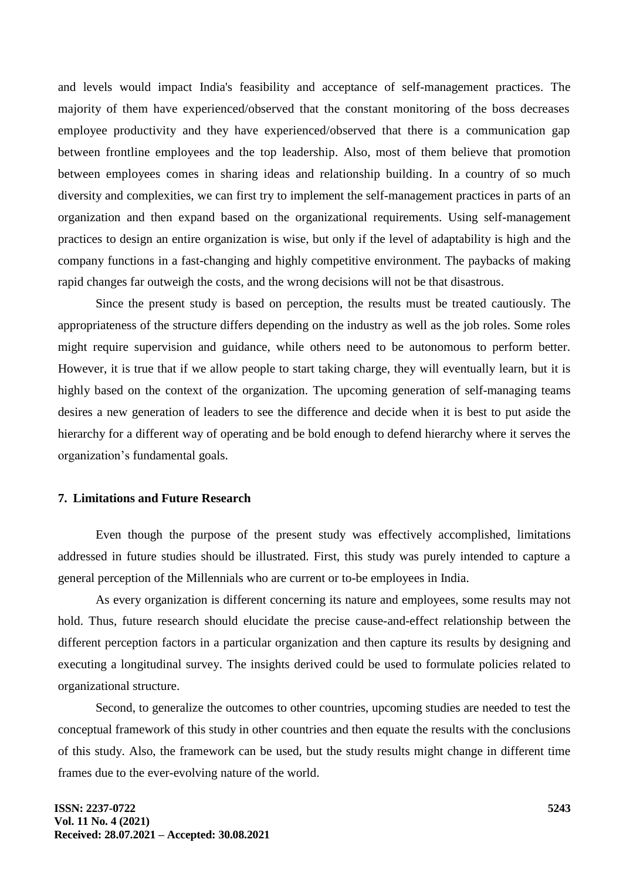and levels would impact India's feasibility and acceptance of self-management practices. The majority of them have experienced/observed that the constant monitoring of the boss decreases employee productivity and they have experienced/observed that there is a communication gap between frontline employees and the top leadership. Also, most of them believe that promotion between employees comes in sharing ideas and relationship building. In a country of so much diversity and complexities, we can first try to implement the self-management practices in parts of an organization and then expand based on the organizational requirements. Using self-management practices to design an entire organization is wise, but only if the level of adaptability is high and the company functions in a fast-changing and highly competitive environment. The paybacks of making rapid changes far outweigh the costs, and the wrong decisions will not be that disastrous.

Since the present study is based on perception, the results must be treated cautiously. The appropriateness of the structure differs depending on the industry as well as the job roles. Some roles might require supervision and guidance, while others need to be autonomous to perform better. However, it is true that if we allow people to start taking charge, they will eventually learn, but it is highly based on the context of the organization. The upcoming generation of self-managing teams desires a new generation of leaders to see the difference and decide when it is best to put aside the hierarchy for a different way of operating and be bold enough to defend hierarchy where it serves the organization's fundamental goals.

## **7. Limitations and Future Research**

Even though the purpose of the present study was effectively accomplished, limitations addressed in future studies should be illustrated. First, this study was purely intended to capture a general perception of the Millennials who are current or to-be employees in India.

As every organization is different concerning its nature and employees, some results may not hold. Thus, future research should elucidate the precise cause-and-effect relationship between the different perception factors in a particular organization and then capture its results by designing and executing a longitudinal survey. The insights derived could be used to formulate policies related to organizational structure.

Second, to generalize the outcomes to other countries, upcoming studies are needed to test the conceptual framework of this study in other countries and then equate the results with the conclusions of this study. Also, the framework can be used, but the study results might change in different time frames due to the ever-evolving nature of the world.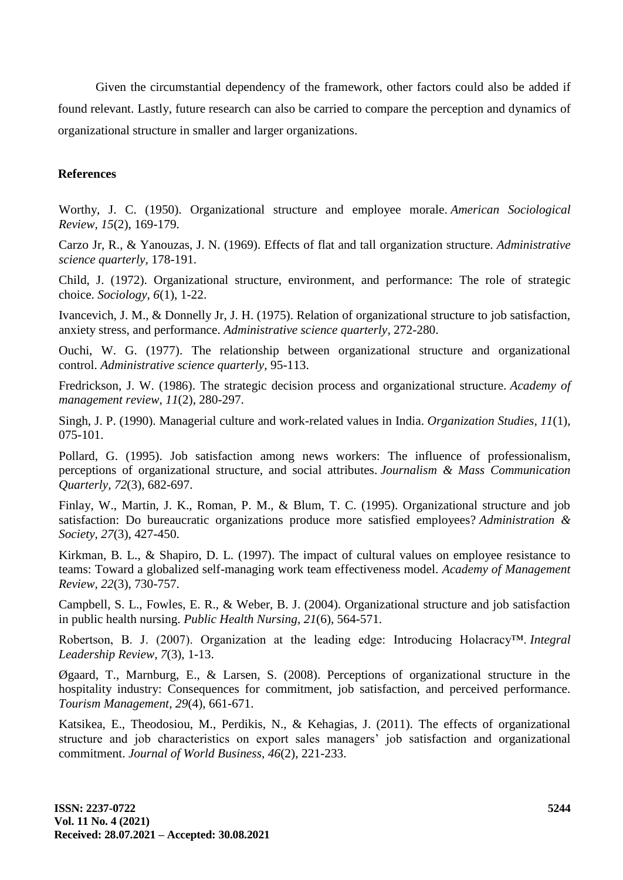Given the circumstantial dependency of the framework, other factors could also be added if found relevant. Lastly, future research can also be carried to compare the perception and dynamics of organizational structure in smaller and larger organizations.

#### **References**

Worthy, J. C. (1950). Organizational structure and employee morale. *American Sociological Review, 15*(2), 169-179.

Carzo Jr, R., & Yanouzas, J. N. (1969). Effects of flat and tall organization structure. *Administrative science quarterly,* 178-191.

Child, J. (1972). Organizational structure, environment, and performance: The role of strategic choice. *Sociology, 6*(1), 1-22.

Ivancevich, J. M., & Donnelly Jr, J. H. (1975). Relation of organizational structure to job satisfaction, anxiety stress, and performance. *Administrative science quarterly,* 272-280.

Ouchi, W. G. (1977). The relationship between organizational structure and organizational control. *Administrative science quarterly,* 95-113.

Fredrickson, J. W. (1986). The strategic decision process and organizational structure. *Academy of management review, 11*(2), 280-297.

Singh, J. P. (1990). Managerial culture and work-related values in India. *Organization Studies, 11*(1), 075-101.

Pollard, G. (1995). Job satisfaction among news workers: The influence of professionalism, perceptions of organizational structure, and social attributes. *Journalism & Mass Communication Quarterly, 72*(3), 682-697.

Finlay, W., Martin, J. K., Roman, P. M., & Blum, T. C. (1995). Organizational structure and job satisfaction: Do bureaucratic organizations produce more satisfied employees? *Administration & Society, 27*(3), 427-450.

Kirkman, B. L., & Shapiro, D. L. (1997). The impact of cultural values on employee resistance to teams: Toward a globalized self-managing work team effectiveness model. *Academy of Management Review, 22*(3), 730-757.

Campbell, S. L., Fowles, E. R., & Weber, B. J. (2004). Organizational structure and job satisfaction in public health nursing. *Public Health Nursing, 21*(6), 564-571.

Robertson, B. J. (2007). Organization at the leading edge: Introducing Holacracy™. *Integral Leadership Review, 7*(3), 1-13.

Øgaard, T., Marnburg, E., & Larsen, S. (2008). Perceptions of organizational structure in the hospitality industry: Consequences for commitment, job satisfaction, and perceived performance. *Tourism Management, 29*(4), 661-671.

Katsikea, E., Theodosiou, M., Perdikis, N., & Kehagias, J. (2011). The effects of organizational structure and job characteristics on export sales managers' job satisfaction and organizational commitment. *Journal of World Business, 46*(2), 221-233.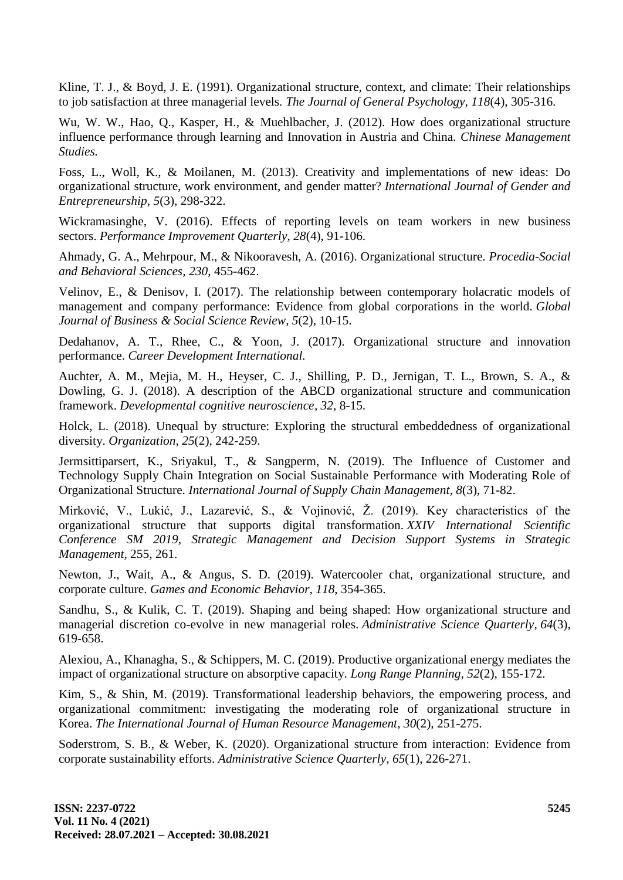Kline, T. J., & Boyd, J. E. (1991). Organizational structure, context, and climate: Their relationships to job satisfaction at three managerial levels. *The Journal of General Psychology, 118*(4), 305-316.

Wu, W. W., Hao, Q., Kasper, H., & Muehlbacher, J. (2012). How does organizational structure influence performance through learning and Innovation in Austria and China. *Chinese Management Studies.*

Foss, L., Woll, K., & Moilanen, M. (2013). Creativity and implementations of new ideas: Do organizational structure, work environment, and gender matter? *International Journal of Gender and Entrepreneurship, 5*(3), 298-322.

Wickramasinghe, V. (2016). Effects of reporting levels on team workers in new business sectors. *Performance Improvement Quarterly, 28*(4), 91-106.

Ahmady, G. A., Mehrpour, M., & Nikooravesh, A. (2016). Organizational structure. *Procedia-Social and Behavioral Sciences, 230*, 455-462.

Velinov, E., & Denisov, I. (2017). The relationship between contemporary holacratic models of management and company performance: Evidence from global corporations in the world. *Global Journal of Business & Social Science Review, 5*(2), 10-15.

Dedahanov, A. T., Rhee, C., & Yoon, J. (2017). Organizational structure and innovation performance. *Career Development International.*

Auchter, A. M., Mejia, M. H., Heyser, C. J., Shilling, P. D., Jernigan, T. L., Brown, S. A., & Dowling, G. J. (2018). A description of the ABCD organizational structure and communication framework. *Developmental cognitive neuroscience, 32*, 8-15.

Holck, L. (2018). Unequal by structure: Exploring the structural embeddedness of organizational diversity. *Organization, 25*(2), 242-259.

Jermsittiparsert, K., Sriyakul, T., & Sangperm, N. (2019). The Influence of Customer and Technology Supply Chain Integration on Social Sustainable Performance with Moderating Role of Organizational Structure. *International Journal of Supply Chain Management, 8*(3), 71-82.

Mirković, V., Lukić, J., Lazarević, S., & Vojinović, Ž. (2019). Key characteristics of the organizational structure that supports digital transformation. *XXIV International Scientific Conference SM 2019, Strategic Management and Decision Support Systems in Strategic Management,* 255, 261.

Newton, J., Wait, A., & Angus, S. D. (2019). Watercooler chat, organizational structure, and corporate culture. *Games and Economic Behavior, 118*, 354-365.

Sandhu, S., & Kulik, C. T. (2019). Shaping and being shaped: How organizational structure and managerial discretion co-evolve in new managerial roles. *Administrative Science Quarterly, 64*(3), 619-658.

Alexiou, A., Khanagha, S., & Schippers, M. C. (2019). Productive organizational energy mediates the impact of organizational structure on absorptive capacity. *Long Range Planning, 52*(2), 155-172.

Kim, S., & Shin, M. (2019). Transformational leadership behaviors, the empowering process, and organizational commitment: investigating the moderating role of organizational structure in Korea. *The International Journal of Human Resource Management, 30*(2), 251-275.

Soderstrom, S. B., & Weber, K. (2020). Organizational structure from interaction: Evidence from corporate sustainability efforts. *Administrative Science Quarterly, 65*(1), 226-271.